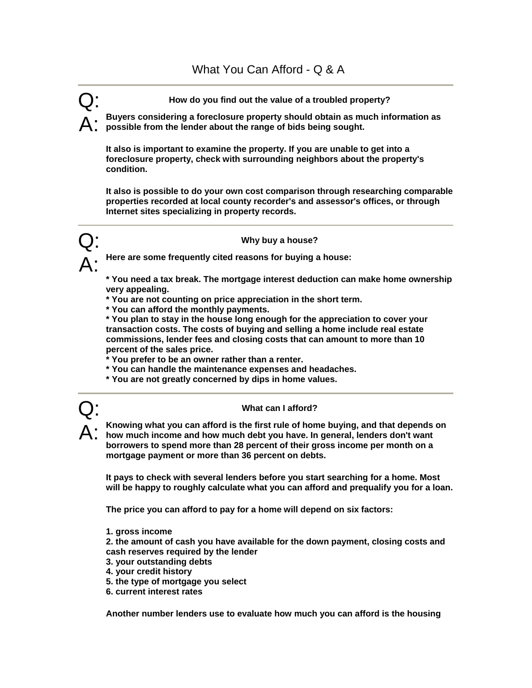Q: **How do you find out the value of a troubled property?** 

A: **Buyers considering a foreclosure property should obtain as much information as possible from the lender about the range of bids being sought.** 

**It also is important to examine the property. If you are unable to get into a foreclosure property, check with surrounding neighbors about the property's condition.** 

**It also is possible to do your own cost comparison through researching comparable properties recorded at local county recorder's and assessor's offices, or through Internet sites specializing in property records.** 



Here are some frequently cited reasons for buying a house:

**\* You need a tax break. The mortgage interest deduction can make home ownership very appealing.** 

**\* You are not counting on price appreciation in the short term.** 

**\* You can afford the monthly payments.** 

**\* You plan to stay in the house long enough for the appreciation to cover your transaction costs. The costs of buying and selling a home include real estate commissions, lender fees and closing costs that can amount to more than 10 percent of the sales price.** 

**\* You prefer to be an owner rather than a renter.** 

- **\* You can handle the maintenance expenses and headaches.**
- **\* You are not greatly concerned by dips in home values.**



## Q: **What can I afford?**

A: **Knowing what you can afford is the first rule of home buying, and that depends on how much income and how much debt you have. In general, lenders don't want borrowers to spend more than 28 percent of their gross income per month on a mortgage payment or more than 36 percent on debts.** 

**It pays to check with several lenders before you start searching for a home. Most will be happy to roughly calculate what you can afford and prequalify you for a loan.** 

**The price you can afford to pay for a home will depend on six factors:** 

**1. gross income** 

**2. the amount of cash you have available for the down payment, closing costs and cash reserves required by the lender** 

- **3. your outstanding debts**
- **4. your credit history**
- **5. the type of mortgage you select**
- **6. current interest rates**

**Another number lenders use to evaluate how much you can afford is the housing**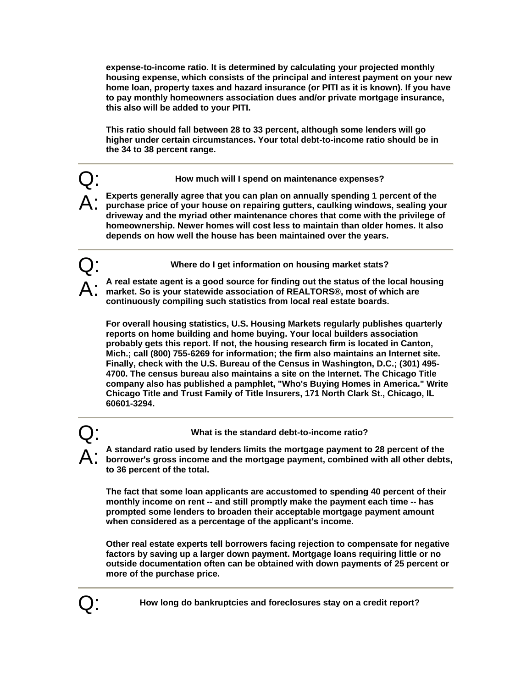**expense-to-income ratio. It is determined by calculating your projected monthly housing expense, which consists of the principal and interest payment on your new home loan, property taxes and hazard insurance (or PITI as it is known). If you have to pay monthly homeowners association dues and/or private mortgage insurance, this also will be added to your PITI.** 

**This ratio should fall between 28 to 33 percent, although some lenders will go higher under certain circumstances. Your total debt-to-income ratio should be in the 34 to 38 percent range.** 

Q: **How much will I spend on maintenance expenses?** 

A: Experts generally agree that you can plan on annually spending 1 percent of the purchase price of your house on repairing gutters, caulking windows, sealing yo **purchase price of your house on repairing gutters, caulking windows, sealing your driveway and the myriad other maintenance chores that come with the privilege of homeownership. Newer homes will cost less to maintain than older homes. It also depends on how well the house has been maintained over the years.** 

Q: **Where do I get information on housing market stats?** 

A: **A real estate agent is a good source for finding out the status of the local housing market. So is your statewide association of REALTORS®, most of which are continuously compiling such statistics from local real estate boards.** 

**For overall housing statistics, U.S. Housing Markets regularly publishes quarterly reports on home building and home buying. Your local builders association probably gets this report. If not, the housing research firm is located in Canton, Mich.; call (800) 755-6269 for information; the firm also maintains an Internet site. Finally, check with the U.S. Bureau of the Census in Washington, D.C.; (301) 495- 4700. The census bureau also maintains a site on the Internet. The Chicago Title company also has published a pamphlet, "Who's Buying Homes in America." Write Chicago Title and Trust Family of Title Insurers, 171 North Clark St., Chicago, IL 60601-3294.** 

Q: **What is the standard debt-to-income ratio?** 

A: **A standard ratio used by lenders limits the mortgage payment to 28 percent of the borrower's gross income and the mortgage payment, combined with all other debts, to 36 percent of the total.** 

**The fact that some loan applicants are accustomed to spending 40 percent of their monthly income on rent -- and still promptly make the payment each time -- has prompted some lenders to broaden their acceptable mortgage payment amount when considered as a percentage of the applicant's income.** 

**Other real estate experts tell borrowers facing rejection to compensate for negative factors by saving up a larger down payment. Mortgage loans requiring little or no outside documentation often can be obtained with down payments of 25 percent or more of the purchase price.**